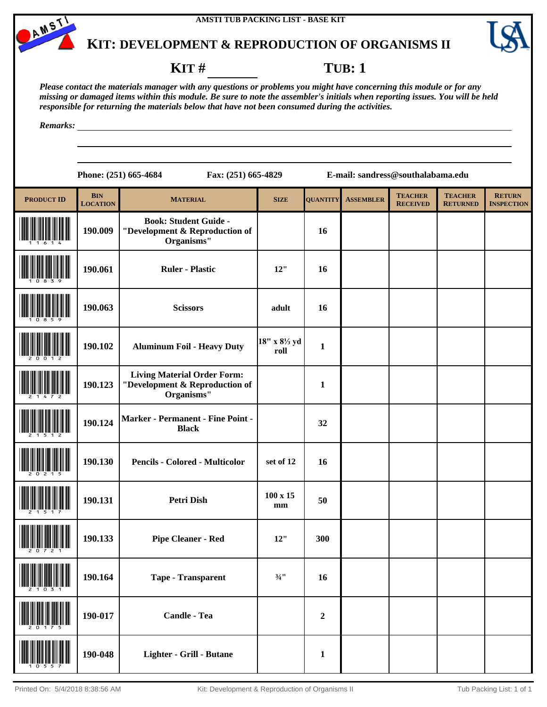AMSTI



# **KIT: DEVELOPMENT & REPRODUCTION OF ORGANISMS II**

#### **KIT** # **TUB**: 1

*Please contact the materials manager with any questions or problems you might have concerning this module or for any missing or damaged items within this module. Be sure to note the assembler's initials when reporting issues. You will be held responsible for returning the materials below that have not been consumed during the activities.*

*Remarks:*

| <b>PRODUCT ID</b> | <b>BIN</b><br><b>LOCATION</b> | <b>MATERIAL</b>                                                                    | <b>SIZE</b>           | <b>QUANTITY</b> | <b>ASSEMBLER</b> | <b>TEACHER</b><br><b>RECEIVED</b> | <b>TEACHER</b><br><b>RETURNED</b> | <b>RETURN</b><br><b>INSPECTION</b> |
|-------------------|-------------------------------|------------------------------------------------------------------------------------|-----------------------|-----------------|------------------|-----------------------------------|-----------------------------------|------------------------------------|
|                   | 190.009                       | <b>Book: Student Guide -</b><br>"Development & Reproduction of<br>Organisms"       |                       | 16              |                  |                                   |                                   |                                    |
|                   | 190.061                       | <b>Ruler - Plastic</b>                                                             | 12"                   | 16              |                  |                                   |                                   |                                    |
|                   | 190.063                       | <b>Scissors</b>                                                                    | adult                 | 16              |                  |                                   |                                   |                                    |
|                   | 190.102                       | <b>Aluminum Foil - Heavy Duty</b>                                                  | 18" x 81/3 yd<br>roll | $\mathbf{1}$    |                  |                                   |                                   |                                    |
|                   | 190.123                       | <b>Living Material Order Form:</b><br>"Development & Reproduction of<br>Organisms" |                       | $\mathbf{1}$    |                  |                                   |                                   |                                    |
|                   | 190.124                       | Marker - Permanent - Fine Point -<br><b>Black</b>                                  |                       | 32              |                  |                                   |                                   |                                    |
|                   | 190.130                       | <b>Pencils - Colored - Multicolor</b>                                              | set of 12             | 16              |                  |                                   |                                   |                                    |
|                   | 190.131                       | <b>Petri Dish</b>                                                                  | $100 \times 15$<br>mm | 50              |                  |                                   |                                   |                                    |
|                   | 190.133                       | <b>Pipe Cleaner - Red</b>                                                          | 12"                   | 300             |                  |                                   |                                   |                                    |
| 2 1 0 3 1         | 190.164                       | <b>Tape - Transparent</b>                                                          | $\frac{3}{4}$ "       | 16              |                  |                                   |                                   |                                    |
|                   | 190-017                       | <b>Candle - Tea</b>                                                                |                       | $\mathbf 2$     |                  |                                   |                                   |                                    |
|                   | 190-048                       | Lighter - Grill - Butane                                                           |                       | $\mathbf{1}$    |                  |                                   |                                   |                                    |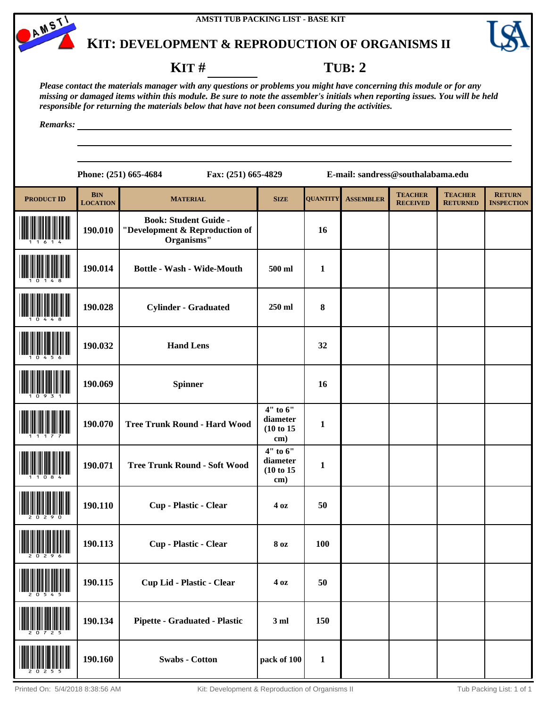



### **KIT** # **TUB: 2**

*Please contact the materials manager with any questions or problems you might have concerning this module or for any missing or damaged items within this module. Be sure to note the assembler's initials when reporting issues. You will be held responsible for returning the materials below that have not been consumed during the activities.*

*Remarks:*

| <b>PRODUCT ID</b> | <b>BIN</b><br><b>LOCATION</b> | <b>MATERIAL</b>                                                              | <b>SIZE</b>                               | <b>QUANTITY</b> | <b>ASSEMBLER</b> | <b>TEACHER</b><br><b>RECEIVED</b> | <b>TEACHER</b><br><b>RETURNED</b> | <b>RETURN</b><br><b>INSPECTION</b> |
|-------------------|-------------------------------|------------------------------------------------------------------------------|-------------------------------------------|-----------------|------------------|-----------------------------------|-----------------------------------|------------------------------------|
|                   | 190.010                       | <b>Book: Student Guide -</b><br>"Development & Reproduction of<br>Organisms" |                                           | 16              |                  |                                   |                                   |                                    |
|                   | 190.014                       | <b>Bottle - Wash - Wide-Mouth</b>                                            | 500 ml                                    | $\mathbf{1}$    |                  |                                   |                                   |                                    |
|                   | 190.028                       | <b>Cylinder - Graduated</b>                                                  | 250 ml                                    | $\bf{8}$        |                  |                                   |                                   |                                    |
|                   | 190.032                       | <b>Hand Lens</b>                                                             |                                           | 32              |                  |                                   |                                   |                                    |
|                   | 190.069                       | <b>Spinner</b>                                                               |                                           | 16              |                  |                                   |                                   |                                    |
|                   | 190.070                       | <b>Tree Trunk Round - Hard Wood</b>                                          | 4" to 6"<br>diameter<br>(10 to 15)<br>cm) | $\mathbf{1}$    |                  |                                   |                                   |                                    |
|                   | 190.071                       | <b>Tree Trunk Round - Soft Wood</b>                                          | 4" to 6"<br>diameter<br>(10 to 15)<br>cm) | $\mathbf{1}$    |                  |                                   |                                   |                                    |
|                   | 190.110                       | Cup - Plastic - Clear                                                        | 4 <sub>oz</sub>                           | 50              |                  |                                   |                                   |                                    |
|                   | 190.113                       | Cup - Plastic - Clear                                                        | <b>8 oz</b>                               | 100             |                  |                                   |                                   |                                    |
|                   | 190.115                       | <b>Cup Lid - Plastic - Clear</b>                                             | $4\,\mathrm{oz}$                          | 50              |                  |                                   |                                   |                                    |
|                   | 190.134                       | <b>Pipette - Graduated - Plastic</b>                                         | 3ml                                       | 150             |                  |                                   |                                   |                                    |
|                   | 190.160                       | <b>Swabs - Cotton</b>                                                        | pack of 100                               | $\mathbf{1}$    |                  |                                   |                                   |                                    |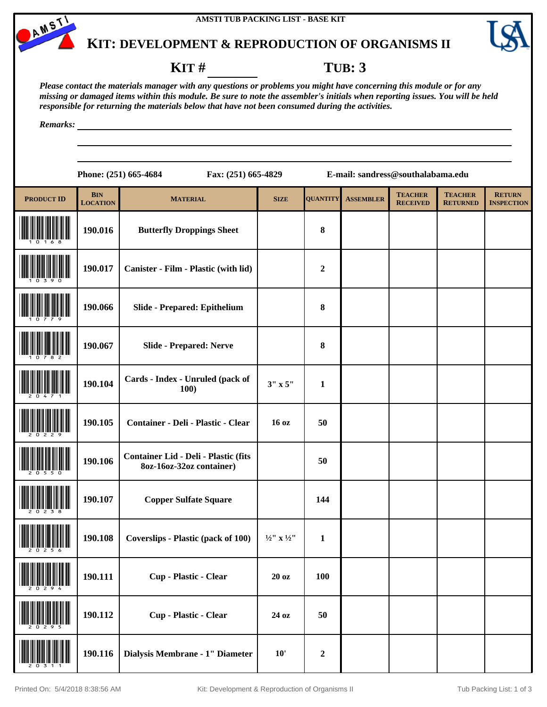



#### **KIT # TUB: 3**

*Please contact the materials manager with any questions or problems you might have concerning this module or for any missing or damaged items within this module. Be sure to note the assembler's initials when reporting issues. You will be held responsible for returning the materials below that have not been consumed during the activities.*

*Remarks:*

| <b>PRODUCT ID</b>             | <b>BIN</b><br><b>LOCATION</b> | <b>MATERIAL</b>                                                  | <b>SIZE</b>                       | <b>QUANTITY</b>  | <b>ASSEMBLER</b> | <b>TEACHER</b><br><b>RECEIVED</b> | <b>TEACHER</b><br><b>RETURNED</b> | <b>RETURN</b><br><b>INSPECTION</b> |
|-------------------------------|-------------------------------|------------------------------------------------------------------|-----------------------------------|------------------|------------------|-----------------------------------|-----------------------------------|------------------------------------|
|                               | 190.016                       | <b>Butterfly Droppings Sheet</b>                                 |                                   | ${\bf 8}$        |                  |                                   |                                   |                                    |
|                               | 190.017                       | Canister - Film - Plastic (with lid)                             |                                   | $\boldsymbol{2}$ |                  |                                   |                                   |                                    |
|                               | 190.066                       | Slide - Prepared: Epithelium                                     |                                   | ${\bf 8}$        |                  |                                   |                                   |                                    |
|                               | 190.067                       | <b>Slide - Prepared: Nerve</b>                                   |                                   | ${\bf 8}$        |                  |                                   |                                   |                                    |
|                               | 190.104                       | Cards - Index - Unruled (pack of<br>100)                         | $3''$ x 5"                        | $\mathbf{1}$     |                  |                                   |                                   |                                    |
|                               | 190.105                       | Container - Deli - Plastic - Clear                               | 16 <sub>oz</sub>                  | 50               |                  |                                   |                                   |                                    |
|                               | 190.106                       | Container Lid - Deli - Plastic (fits<br>8oz-16oz-32oz container) |                                   | 50               |                  |                                   |                                   |                                    |
|                               | 190.107                       | <b>Copper Sulfate Square</b>                                     |                                   | 144              |                  |                                   |                                   |                                    |
|                               | 190.108                       | <b>Coverslips - Plastic (pack of 100)</b>                        | $\frac{1}{2}$ " x $\frac{1}{2}$ " | $\mathbf{1}$     |                  |                                   |                                   |                                    |
| <b>THE ALL AND STATE OF A</b> | 190.111                       | Cup - Plastic - Clear                                            | 20 oz                             | <b>100</b>       |                  |                                   |                                   |                                    |
|                               | 190.112                       | Cup - Plastic - Clear                                            | 24 oz                             | 50               |                  |                                   |                                   |                                    |
|                               | 190.116                       | Dialysis Membrane - 1" Diameter                                  | 10'                               | $\boldsymbol{2}$ |                  |                                   |                                   |                                    |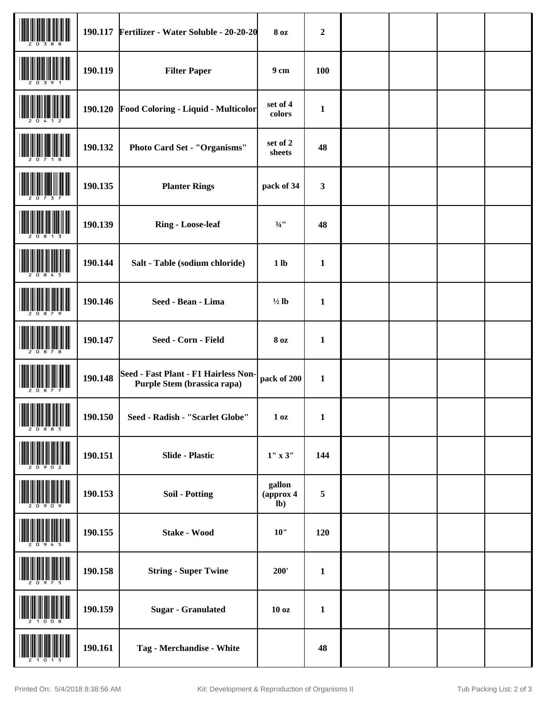|                                                                                                                                                                                                                                                                                                                                                                                                                                                                                               |         | 190.117 Fertilizer - Water Soluble - 20-20-20                       | <b>8 oz</b>                 | $\boldsymbol{2}$ |  |  |
|-----------------------------------------------------------------------------------------------------------------------------------------------------------------------------------------------------------------------------------------------------------------------------------------------------------------------------------------------------------------------------------------------------------------------------------------------------------------------------------------------|---------|---------------------------------------------------------------------|-----------------------------|------------------|--|--|
|                                                                                                                                                                                                                                                                                                                                                                                                                                                                                               | 190.119 | <b>Filter Paper</b>                                                 | 9 <sub>cm</sub>             | <b>100</b>       |  |  |
|                                                                                                                                                                                                                                                                                                                                                                                                                                                                                               | 190.120 | Food Coloring - Liquid - Multicolor                                 | set of 4<br>colors          | $\mathbf{1}$     |  |  |
|                                                                                                                                                                                                                                                                                                                                                                                                                                                                                               | 190.132 | Photo Card Set - "Organisms"                                        | set of 2<br>sheets          | 48               |  |  |
|                                                                                                                                                                                                                                                                                                                                                                                                                                                                                               | 190.135 | <b>Planter Rings</b>                                                | pack of 34                  | $\mathbf{3}$     |  |  |
|                                                                                                                                                                                                                                                                                                                                                                                                                                                                                               | 190.139 | <b>Ring - Loose-leaf</b>                                            | $\frac{3}{4}$ !!            | 48               |  |  |
|                                                                                                                                                                                                                                                                                                                                                                                                                                                                                               | 190.144 | Salt - Table (sodium chloride)                                      | 1 <sub>lb</sub>             | $\mathbf{1}$     |  |  |
|                                                                                                                                                                                                                                                                                                                                                                                                                                                                                               | 190.146 | Seed - Bean - Lima                                                  | $\frac{1}{2}$ lb            | $\mathbf{1}$     |  |  |
|                                                                                                                                                                                                                                                                                                                                                                                                                                                                                               | 190.147 | Seed - Corn - Field                                                 | <b>8 oz</b>                 | $\mathbf{1}$     |  |  |
|                                                                                                                                                                                                                                                                                                                                                                                                                                                                                               | 190.148 | Seed - Fast Plant - F1 Hairless Non-<br>Purple Stem (brassica rapa) | pack of 200                 | $\mathbf{1}$     |  |  |
| <b>THE REAL PROPERTY OF A STATE</b><br>$\begin{tabular}{ c c c c c } \hline & \multicolumn{1}{ c }{\textbf{  }} & \multicolumn{1}{ c }{\textbf{  }} \\ \hline \multicolumn{1}{ c }{\textbf{  }} & \multicolumn{1}{ c }{\textbf{  }} & \multicolumn{1}{ c }{\textbf{  }} & \multicolumn{1}{ c }{\textbf{  }} & \multicolumn{1}{ c }{\textbf{  }} \\ \hline \multicolumn{1}{ c }{\textbf{  }} & \multicolumn{1}{ c }{\textbf{  }} & \multicolumn{1}{ c }{\textbf{  }} & \multicolumn{1}{ c }{\$ | 190.150 | Seed - Radish - "Scarlet Globe"                                     | 1 <sub>0</sub> z            | $\mathbf{1}$     |  |  |
|                                                                                                                                                                                                                                                                                                                                                                                                                                                                                               | 190.151 | <b>Slide - Plastic</b>                                              | 1" x 3"                     | 144              |  |  |
|                                                                                                                                                                                                                                                                                                                                                                                                                                                                                               | 190.153 | <b>Soil - Potting</b>                                               | gallon<br>(approx 4<br>$lb$ | $\sqrt{5}$       |  |  |
|                                                                                                                                                                                                                                                                                                                                                                                                                                                                                               | 190.155 | <b>Stake - Wood</b>                                                 | 10"                         | 120              |  |  |
|                                                                                                                                                                                                                                                                                                                                                                                                                                                                                               | 190.158 | <b>String - Super Twine</b>                                         | 200'                        | $\mathbf{1}$     |  |  |
|                                                                                                                                                                                                                                                                                                                                                                                                                                                                                               | 190.159 | <b>Sugar - Granulated</b>                                           | 10 <sub>oz</sub>            | $\mathbf{1}$     |  |  |
|                                                                                                                                                                                                                                                                                                                                                                                                                                                                                               | 190.161 | Tag - Merchandise - White                                           |                             | 48               |  |  |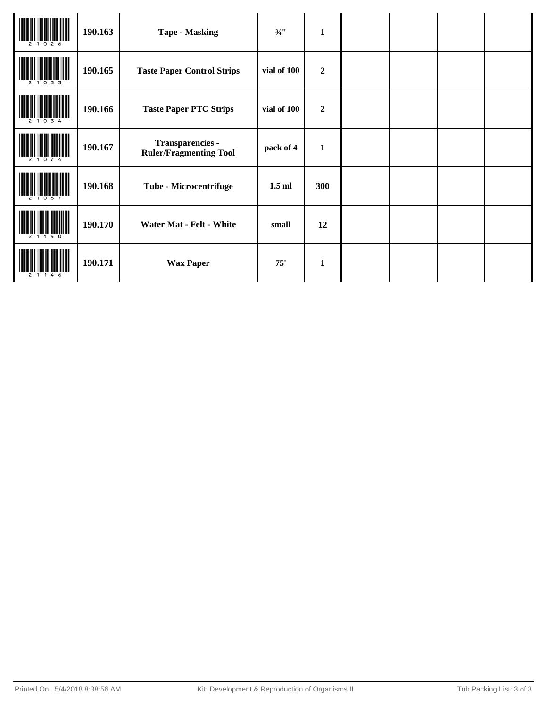|     | 190.163 | <b>Tape - Masking</b>                             | $3/4$ <sup>11</sup> | $\mathbf{1}$     |  |  |
|-----|---------|---------------------------------------------------|---------------------|------------------|--|--|
| 033 | 190.165 | <b>Taste Paper Control Strips</b>                 | vial of 100         | $\boldsymbol{2}$ |  |  |
|     | 190.166 | <b>Taste Paper PTC Strips</b>                     | vial of 100         | $\overline{2}$   |  |  |
|     | 190.167 | Transparencies -<br><b>Ruler/Fragmenting Tool</b> | pack of 4           | $\mathbf{1}$     |  |  |
|     | 190.168 | Tube - Microcentrifuge                            | $1.5$ ml            | 300              |  |  |
|     | 190.170 | <b>Water Mat - Felt - White</b>                   | small               | 12               |  |  |
|     | 190.171 | <b>Wax Paper</b>                                  | 75'                 | $\mathbf{1}$     |  |  |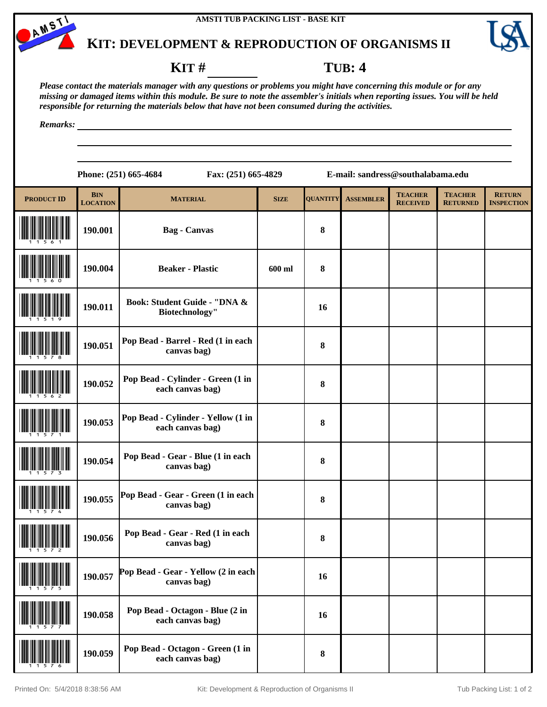



#### **KIT** # **TUB: 4**

*Please contact the materials manager with any questions or problems you might have concerning this module or for any missing or damaged items within this module. Be sure to note the assembler's initials when reporting issues. You will be held responsible for returning the materials below that have not been consumed during the activities.*

*Remarks:*

| <b>PRODUCT ID</b> | <b>BIN</b><br><b>LOCATION</b> | <b>MATERIAL</b>                                        | <b>SIZE</b> | <b>QUANTITY</b> | <b>ASSEMBLER</b> | <b>TEACHER</b><br><b>RECEIVED</b> | <b>TEACHER</b><br><b>RETURNED</b> | <b>RETURN</b><br><b>INSPECTION</b> |
|-------------------|-------------------------------|--------------------------------------------------------|-------------|-----------------|------------------|-----------------------------------|-----------------------------------|------------------------------------|
|                   | 190.001                       | <b>Bag - Canvas</b>                                    |             | 8               |                  |                                   |                                   |                                    |
|                   | 190.004                       | <b>Beaker - Plastic</b>                                | 600 ml      | ${\bf 8}$       |                  |                                   |                                   |                                    |
|                   | 190.011                       | Book: Student Guide - "DNA &<br>Biotechnology"         |             | 16              |                  |                                   |                                   |                                    |
|                   | 190.051                       | Pop Bead - Barrel - Red (1 in each<br>canvas bag)      |             | 8               |                  |                                   |                                   |                                    |
|                   | 190.052                       | Pop Bead - Cylinder - Green (1 in<br>each canvas bag)  |             | 8               |                  |                                   |                                   |                                    |
|                   | 190.053                       | Pop Bead - Cylinder - Yellow (1 in<br>each canvas bag) |             | ${\bf 8}$       |                  |                                   |                                   |                                    |
|                   | 190.054                       | Pop Bead - Gear - Blue (1 in each<br>canvas bag)       |             | 8               |                  |                                   |                                   |                                    |
|                   | 190.055                       | Pop Bead - Gear - Green (1 in each<br>canvas bag)      |             | 8               |                  |                                   |                                   |                                    |
|                   | 190.056                       | Pop Bead - Gear - Red (1 in each<br>canvas bag)        |             | 8               |                  |                                   |                                   |                                    |
|                   | 190.057                       | Pop Bead - Gear - Yellow (2 in each<br>canvas bag)     |             | 16              |                  |                                   |                                   |                                    |
|                   | 190.058                       | Pop Bead - Octagon - Blue (2 in<br>each canvas bag)    |             | 16              |                  |                                   |                                   |                                    |
|                   | 190.059                       | Pop Bead - Octagon - Green (1 in<br>each canvas bag)   |             | ${\bf 8}$       |                  |                                   |                                   |                                    |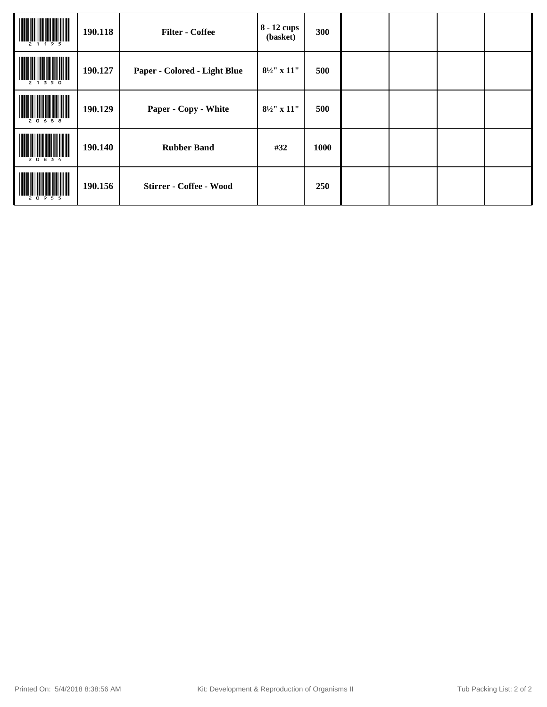|     | 190.118 | <b>Filter - Coffee</b>       | 8 - 12 cups<br>(basket) | 300  |  |  |
|-----|---------|------------------------------|-------------------------|------|--|--|
| 350 | 190.127 | Paper - Colored - Light Blue | $8\frac{1}{2}$ " x 11"  | 500  |  |  |
|     | 190.129 | Paper - Copy - White         | $8\frac{1}{2}$ " x 11"  | 500  |  |  |
|     | 190.140 | <b>Rubber Band</b>           | #32                     | 1000 |  |  |
|     | 190.156 | Stirrer - Coffee - Wood      |                         | 250  |  |  |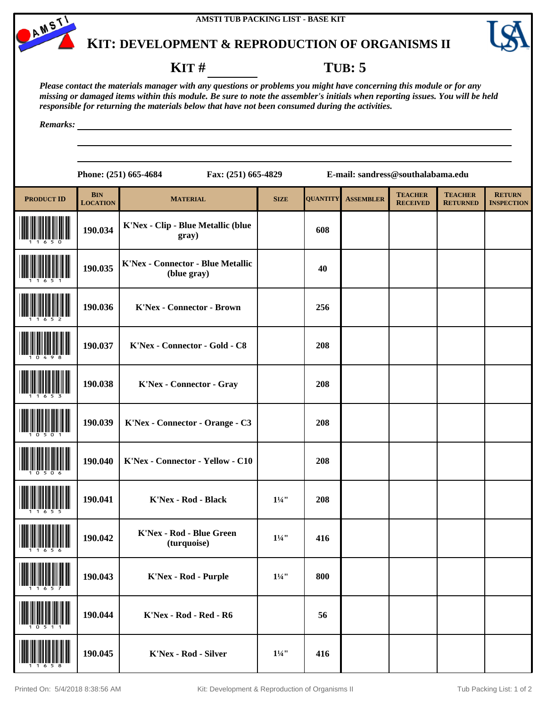



#### **KIT # TUB: 5**

*Please contact the materials manager with any questions or problems you might have concerning this module or for any missing or damaged items within this module. Be sure to note the assembler's initials when reporting issues. You will be held responsible for returning the materials below that have not been consumed during the activities.*

*Remarks:*

| <b>PRODUCT ID</b> | <b>BIN</b><br><b>LOCATION</b> | <b>MATERIAL</b>                                         | <b>SIZE</b>      | <b>QUANTITY</b> | <b>ASSEMBLER</b> | <b>TEACHER</b><br><b>RECEIVED</b> | <b>TEACHER</b><br><b>RETURNED</b> | <b>RETURN</b><br><b>INSPECTION</b> |
|-------------------|-------------------------------|---------------------------------------------------------|------------------|-----------------|------------------|-----------------------------------|-----------------------------------|------------------------------------|
|                   | 190.034                       | K'Nex - Clip - Blue Metallic (blue<br>gray)             |                  | 608             |                  |                                   |                                   |                                    |
|                   | 190.035                       | <b>K'Nex - Connector - Blue Metallic</b><br>(blue gray) |                  | 40              |                  |                                   |                                   |                                    |
|                   | 190.036                       | <b>K'Nex - Connector - Brown</b>                        |                  | 256             |                  |                                   |                                   |                                    |
|                   | 190.037                       | K'Nex - Connector - Gold - C8                           |                  | 208             |                  |                                   |                                   |                                    |
|                   | 190.038                       | <b>K'Nex - Connector - Gray</b>                         |                  | 208             |                  |                                   |                                   |                                    |
|                   | 190.039                       | K'Nex - Connector - Orange - C3                         |                  | 208             |                  |                                   |                                   |                                    |
|                   | 190.040                       | K'Nex - Connector - Yellow - C10                        |                  | 208             |                  |                                   |                                   |                                    |
|                   | 190.041                       | K'Nex - Rod - Black                                     | $1\frac{1}{4}$   | 208             |                  |                                   |                                   |                                    |
|                   | 190.042                       | <b>K'Nex - Rod - Blue Green</b><br>(turquoise)          | $1\frac{1}{4}$   | 416             |                  |                                   |                                   |                                    |
|                   | 190.043                       | K'Nex - Rod - Purple                                    | $1\frac{1}{4}$   | 800             |                  |                                   |                                   |                                    |
|                   | 190.044                       | K'Nex - Rod - Red - R6                                  |                  | 56              |                  |                                   |                                   |                                    |
|                   | 190.045                       | K'Nex - Rod - Silver                                    | $1\frac{1}{4}$ " | 416             |                  |                                   |                                   |                                    |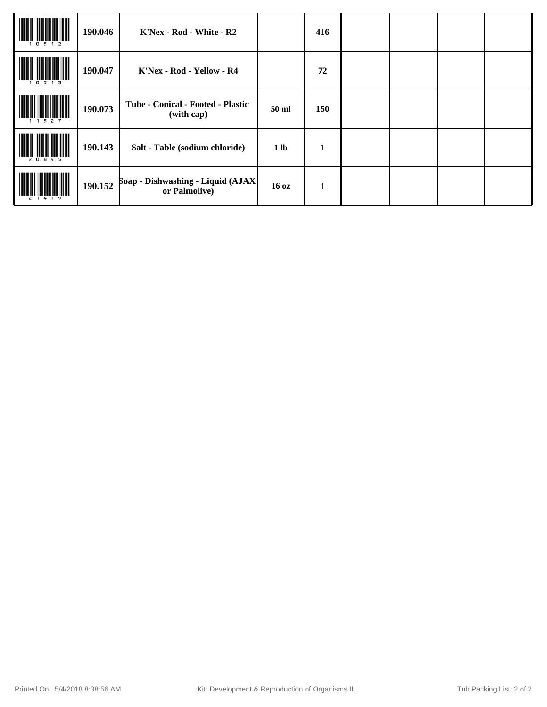|       | 190.046 | K'Nex - Rod - White - R2                            |                  | 416          |  |  |
|-------|---------|-----------------------------------------------------|------------------|--------------|--|--|
|       | 190.047 | K'Nex - Rod - Yellow - R4                           |                  | 72           |  |  |
|       | 190.073 | Tube - Conical - Footed - Plastic<br>(with cap)     | 50 ml            | 150          |  |  |
| 20845 | 190.143 | Salt - Table (sodium chloride)                      | 1 <sub>lb</sub>  | $\mathbf{1}$ |  |  |
|       | 190.152 | Soap - Dishwashing - Liquid (AJAX)<br>or Palmolive) | 16 <sub>oz</sub> | 1            |  |  |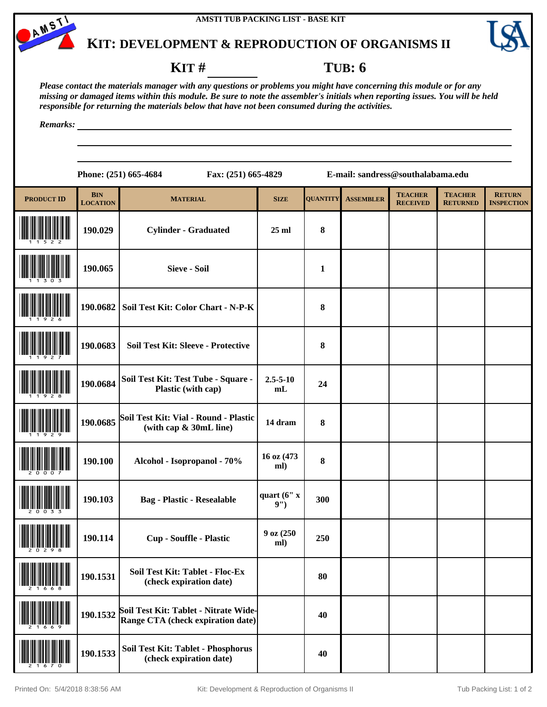



#### **KIT # TUB: 6**

*Please contact the materials manager with any questions or problems you might have concerning this module or for any missing or damaged items within this module. Be sure to note the assembler's initials when reporting issues. You will be held responsible for returning the materials below that have not been consumed during the activities.*

*Remarks:*

| <b>PRODUCT ID</b> | <b>BIN</b><br><b>LOCATION</b> | <b>MATERIAL</b>                                                            | <b>SIZE</b>          | <b>OUANTITY</b> | <b>ASSEMBLER</b> | <b>TEACHER</b><br><b>RECEIVED</b> | <b>TEACHER</b><br><b>RETURNED</b> | <b>RETURN</b><br><b>INSPECTION</b> |
|-------------------|-------------------------------|----------------------------------------------------------------------------|----------------------|-----------------|------------------|-----------------------------------|-----------------------------------|------------------------------------|
|                   | 190.029                       | <b>Cylinder - Graduated</b>                                                | $25$ ml              | $\bf{8}$        |                  |                                   |                                   |                                    |
|                   | 190.065                       | <b>Sieve - Soil</b>                                                        |                      | $\mathbf{1}$    |                  |                                   |                                   |                                    |
|                   | 190.0682                      | Soil Test Kit: Color Chart - N-P-K                                         |                      | 8               |                  |                                   |                                   |                                    |
|                   | 190.0683                      | Soil Test Kit: Sleeve - Protective                                         |                      | 8               |                  |                                   |                                   |                                    |
|                   | 190.0684                      | Soil Test Kit: Test Tube - Square -<br>Plastic (with cap)                  | $2.5 - 5 - 10$<br>mL | 24              |                  |                                   |                                   |                                    |
|                   | 190.0685                      | Soil Test Kit: Vial - Round - Plastic<br>(with cap & 30mL line)            | 14 dram              | $\bf{8}$        |                  |                                   |                                   |                                    |
|                   | 190.100                       | Alcohol - Isopropanol - 70%                                                | 16 oz (473<br>ml)    | 8               |                  |                                   |                                   |                                    |
|                   | 190.103                       | <b>Bag - Plastic - Resealable</b>                                          | quart $(6"x)$<br>9") | 300             |                  |                                   |                                   |                                    |
|                   | 190.114                       | <b>Cup - Souffle - Plastic</b>                                             | 9 oz (250<br>ml)     | 250             |                  |                                   |                                   |                                    |
|                   | 190.1531                      | Soil Test Kit: Tablet - Floc-Ex<br>(check expiration date)                 |                      | 80              |                  |                                   |                                   |                                    |
|                   | 190.1532                      | Soil Test Kit: Tablet - Nitrate Wide-<br>Range CTA (check expiration date) |                      | 40              |                  |                                   |                                   |                                    |
|                   | 190.1533                      | Soil Test Kit: Tablet - Phosphorus<br>(check expiration date)              |                      | 40              |                  |                                   |                                   |                                    |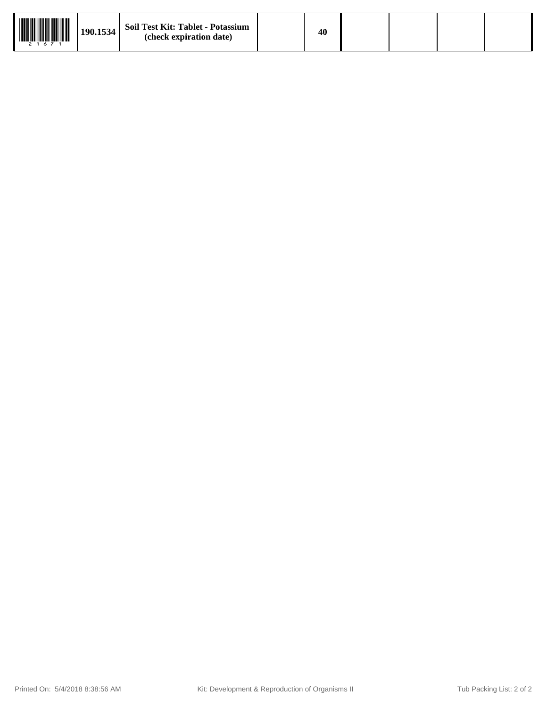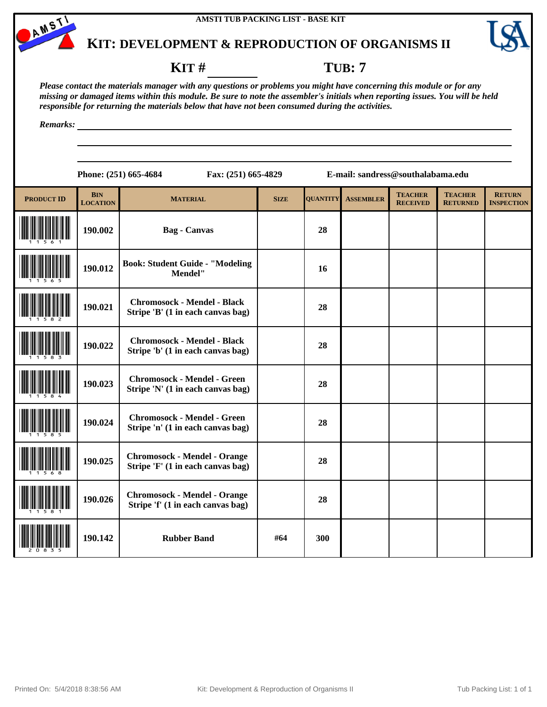



#### **KIT** # **TUB**: 7

*Please contact the materials manager with any questions or problems you might have concerning this module or for any missing or damaged items within this module. Be sure to note the assembler's initials when reporting issues. You will be held responsible for returning the materials below that have not been consumed during the activities.*

*Remarks:*

| <b>PRODUCT ID</b> | <b>BIN</b><br><b>LOCATION</b> | <b>MATERIAL</b>                                                          | <b>SIZE</b> | <b>OUANTITY</b> | <b>ASSEMBLER</b> | <b>TEACHER</b><br><b>RECEIVED</b> | <b>TEACHER</b><br><b>RETURNED</b> | <b>RETURN</b><br><b>INSPECTION</b> |
|-------------------|-------------------------------|--------------------------------------------------------------------------|-------------|-----------------|------------------|-----------------------------------|-----------------------------------|------------------------------------|
|                   | 190.002                       | <b>Bag</b> - Canvas                                                      |             | 28              |                  |                                   |                                   |                                    |
|                   | 190.012                       | <b>Book: Student Guide - "Modeling</b><br>Mendel"                        |             | 16              |                  |                                   |                                   |                                    |
|                   | 190.021                       | <b>Chromosock - Mendel - Black</b><br>Stripe 'B' (1 in each canvas bag)  |             | 28              |                  |                                   |                                   |                                    |
|                   | 190.022                       | <b>Chromosock - Mendel - Black</b><br>Stripe 'b' (1 in each canvas bag)  |             | 28              |                  |                                   |                                   |                                    |
|                   | 190.023                       | <b>Chromosock - Mendel - Green</b><br>Stripe 'N' (1 in each canvas bag)  |             | 28              |                  |                                   |                                   |                                    |
|                   | 190.024                       | <b>Chromosock - Mendel - Green</b><br>Stripe 'n' (1 in each canvas bag)  |             | 28              |                  |                                   |                                   |                                    |
|                   | 190.025                       | <b>Chromosock - Mendel - Orange</b><br>Stripe 'F' (1 in each canvas bag) |             | 28              |                  |                                   |                                   |                                    |
|                   | 190.026                       | <b>Chromosock - Mendel - Orange</b><br>Stripe 'f' (1 in each canvas bag) |             | 28              |                  |                                   |                                   |                                    |
|                   | 190.142                       | <b>Rubber Band</b>                                                       | #64         | 300             |                  |                                   |                                   |                                    |